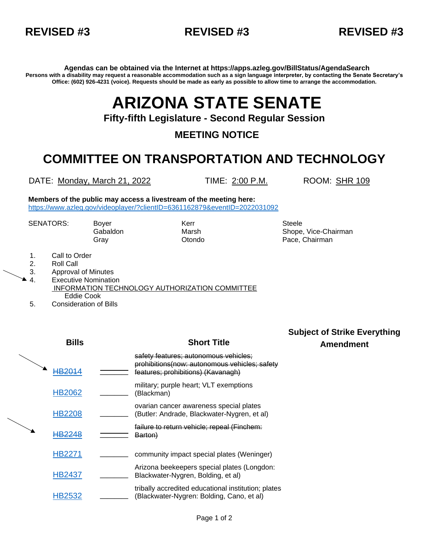

**Agendas can be obtained via the Internet at https://apps.azleg.gov/BillStatus/AgendaSearch Persons with a disability may request a reasonable accommodation such as a sign language interpreter, by contacting the Senate Secretary's Office: (602) 926-4231 (voice). Requests should be made as early as possible to allow time to arrange the accommodation.**

# **ARIZONA STATE SENATE**

**Fifty-fifth Legislature - Second Regular Session**

**MEETING NOTICE**

## **COMMITTEE ON TRANSPORTATION AND TECHNOLOGY**

DATE: Monday, March 21, 2022 TIME: 2:00 P.M. ROOM: SHR 109

**Members of the public may access a livestream of the meeting here:**  <https://www.azleg.gov/videoplayer/?clientID=6361162879&eventID=2022031092>

SENATORS: Boyer Kerr Kerr Steele

Gabaldon **Marsh Shope, Vice-Chairman** Marsh Shope, Vice-Chairman Gray Otondo Pace, Chairman

- 1. Call to Order
- 2. Roll Call
- 3. Approval of Minutes
- 4. Executive Nomination INFORMATION TECHNOLOGY AUTHORIZATION COMMITTEE Eddie Cook
- 5. Consideration of Bills

## **Bills Short Title**

**Subject of Strike Everything Amendment**

| 1820          | safety features; autonomous vehicles;<br>prohibitions(now: autonomous vehicles: safety<br>features: prohibitions) (Kavanagh) |
|---------------|------------------------------------------------------------------------------------------------------------------------------|
| <b>HB2062</b> | military; purple heart; VLT exemptions<br>(Blackman)                                                                         |
| <b>HB2208</b> | ovarian cancer awareness special plates<br>(Butler: Andrade, Blackwater-Nygren, et al)                                       |
|               | <u>failure to return vehicle: repeal (Finchem:</u><br>Barton)                                                                |
| HB2271        | community impact special plates (Weninger)                                                                                   |
| HB2437        | Arizona beekeepers special plates (Longdon:<br>Blackwater-Nygren, Bolding, et al)                                            |
|               | tribally accredited educational institution; plates<br>(Blackwater-Nygren: Bolding, Cano, et al)                             |